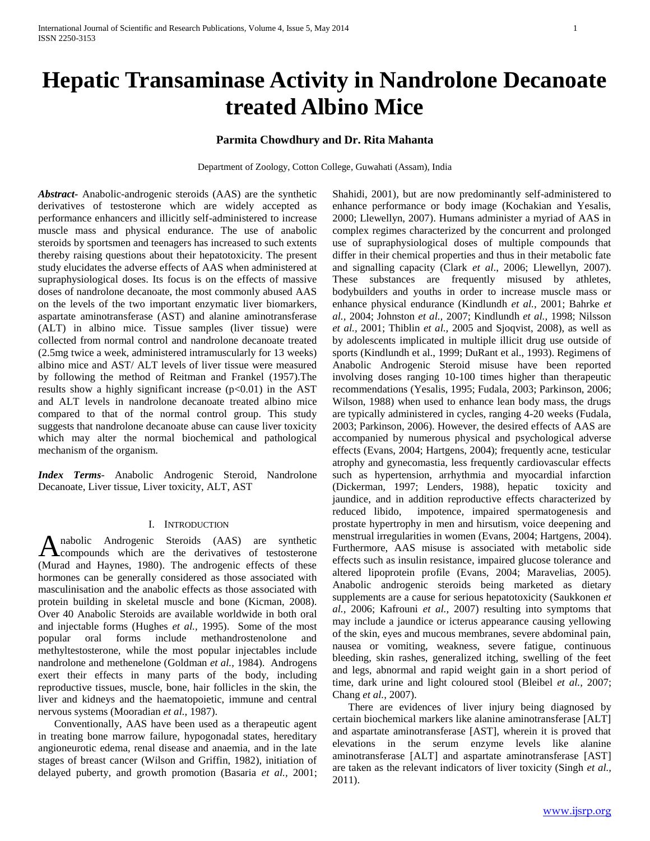## **Parmita Chowdhury and Dr. Rita Mahanta**

Department of Zoology, Cotton College, Guwahati (Assam), India

*Abstract***-** Anabolic-androgenic steroids (AAS) are the synthetic derivatives of testosterone which are widely accepted as performance enhancers and illicitly self-administered to increase muscle mass and physical endurance. The use of anabolic steroids by sportsmen and teenagers has increased to such extents thereby raising questions about their hepatotoxicity. The present study elucidates the adverse effects of AAS when administered at supraphysiological doses. Its focus is on the effects of massive doses of nandrolone decanoate, the most commonly abused AAS on the levels of the two important enzymatic liver biomarkers, aspartate aminotransferase (AST) and alanine aminotransferase (ALT) in albino mice. Tissue samples (liver tissue) were collected from normal control and nandrolone decanoate treated (2.5mg twice a week, administered intramuscularly for 13 weeks) albino mice and AST/ ALT levels of liver tissue were measured by following the method of Reitman and Frankel (1957).The results show a highly significant increase  $(p<0.01)$  in the AST and ALT levels in nandrolone decanoate treated albino mice compared to that of the normal control group. This study suggests that nandrolone decanoate abuse can cause liver toxicity which may alter the normal biochemical and pathological mechanism of the organism.

*Index Terms*- Anabolic Androgenic Steroid, Nandrolone Decanoate, Liver tissue, Liver toxicity, ALT, AST

## I. INTRODUCTION

nabolic Androgenic Steroids (AAS) are synthetic Anabolic Androgenic Steroids (AAS) are synthetic<br>compounds which are the derivatives of testosterone (Murad and Haynes, 1980). The androgenic effects of these hormones can be generally considered as those associated with masculinisation and the anabolic effects as those associated with protein building in skeletal muscle and bone (Kicman, 2008). Over 40 Anabolic Steroids are available worldwide in both oral and injectable forms (Hughes *et al.,* 1995). Some of the most popular oral forms include methandrostenolone and methyltestosterone, while the most popular injectables include nandrolone and methenelone (Goldman *et al.,* 1984). Androgens exert their effects in many parts of the body, including reproductive tissues, muscle, bone, hair follicles in the skin, the liver and kidneys and the haematopoietic, immune and central nervous systems (Mooradian *et al.,* 1987).

 Conventionally, AAS have been used as a therapeutic agent in treating bone marrow failure, hypogonadal states, hereditary angioneurotic edema, renal disease and anaemia, and in the late stages of breast cancer (Wilson and Griffin, 1982), initiation of delayed puberty, and growth promotion (Basaria *et al.,* 2001; Shahidi, 2001), but are now predominantly self-administered to enhance performance or body image (Kochakian and Yesalis, 2000; Llewellyn, 2007). Humans administer a myriad of AAS in complex regimes characterized by the concurrent and prolonged use of supraphysiological doses of multiple compounds that differ in their chemical properties and thus in their metabolic fate and signalling capacity (Clark *et al*., 2006; Llewellyn, 2007). These substances are frequently misused by athletes, bodybuilders and youths in order to increase muscle mass or enhance physical endurance (Kindlundh *et al.,* 2001; Bahrke *et al.,* 2004; Johnston *et al.,* 2007; Kindlundh *et al.,* 1998; Nilsson *et al.,* 2001; Thiblin *et al.,* 2005 and Sjoqvist, 2008), as well as by adolescents implicated in multiple illicit drug use outside of sports (Kindlundh et al., 1999; DuRant et al., 1993). Regimens of Anabolic Androgenic Steroid misuse have been reported involving doses ranging 10-100 times higher than therapeutic recommendations (Yesalis, 1995; Fudala, 2003; Parkinson, 2006; Wilson, 1988) when used to enhance lean body mass, the drugs are typically administered in cycles, ranging 4-20 weeks (Fudala, 2003; Parkinson, 2006). However, the desired effects of AAS are accompanied by numerous physical and psychological adverse effects (Evans, 2004; Hartgens, 2004); frequently acne, testicular atrophy and gynecomastia, less frequently cardiovascular effects such as hypertension, arrhythmia and myocardial infarction (Dickerman, 1997; Lenders, 1988), hepatic toxicity and jaundice, and in addition reproductive effects characterized by reduced libido, impotence, impaired spermatogenesis and prostate hypertrophy in men and hirsutism, voice deepening and menstrual irregularities in women (Evans, 2004; Hartgens, 2004). Furthermore, AAS misuse is associated with metabolic side effects such as insulin resistance, impaired glucose tolerance and altered lipoprotein profile (Evans, 2004; Maravelias, 2005). Anabolic androgenic steroids being marketed as dietary supplements are a cause for serious hepatotoxicity (Saukkonen *et al.,* 2006; Kafrouni *et al.,* 2007) resulting into symptoms that may include a jaundice or icterus appearance causing yellowing of the skin, eyes and mucous membranes, severe abdominal pain, nausea or vomiting, weakness, severe fatigue, continuous bleeding, skin rashes, generalized itching, swelling of the feet and legs, abnormal and rapid weight gain in a short period of time, dark urine and light coloured stool (Bleibel *et al.,* 2007; Chang *et al.,* 2007).

 There are evidences of liver injury being diagnosed by certain biochemical markers like alanine aminotransferase [ALT] and aspartate aminotransferase [AST], wherein it is proved that elevations in the serum enzyme levels like alanine aminotransferase [ALT] and aspartate aminotransferase [AST] are taken as the relevant indicators of liver toxicity (Singh *et al.,*  2011).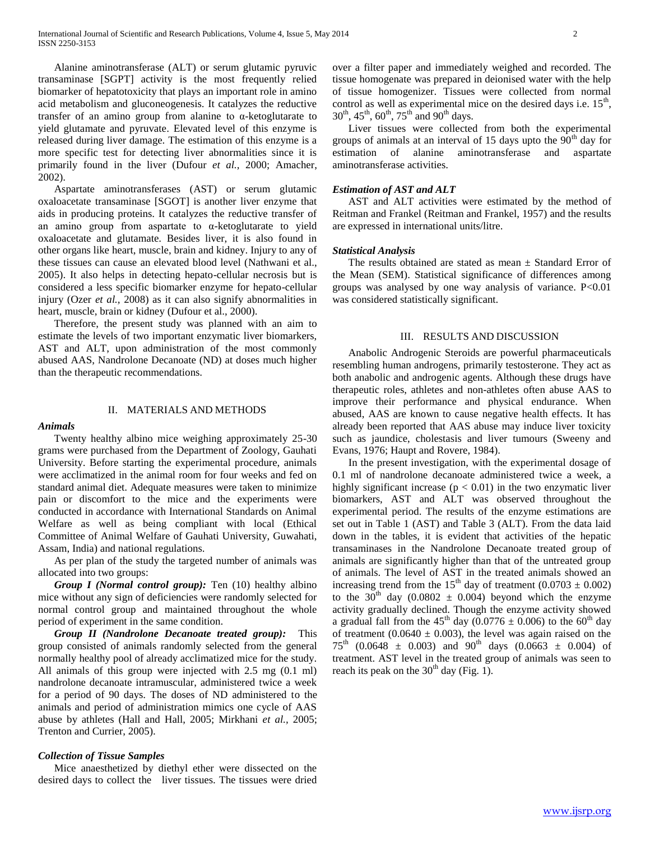Alanine aminotransferase (ALT) or serum glutamic pyruvic transaminase [SGPT] activity is the most frequently relied biomarker of hepatotoxicity that plays an important role in amino acid metabolism and gluconeogenesis. It catalyzes the reductive transfer of an amino group from alanine to α-ketoglutarate to yield glutamate and pyruvate. Elevated level of this enzyme is released during liver damage. The estimation of this enzyme is a more specific test for detecting liver abnormalities since it is primarily found in the liver (Dufour *et al.,* 2000; Amacher, 2002).

 Aspartate aminotransferases (AST) or serum glutamic oxaloacetate transaminase [SGOT] is another liver enzyme that aids in producing proteins. It catalyzes the reductive transfer of an amino group from aspartate to α-ketoglutarate to yield oxaloacetate and glutamate. Besides liver, it is also found in other organs like heart, muscle, brain and kidney. Injury to any of these tissues can cause an elevated blood level (Nathwani et al., 2005). It also helps in detecting hepato-cellular necrosis but is considered a less specific biomarker enzyme for hepato-cellular injury (Ozer *et al.,* 2008) as it can also signify abnormalities in heart, muscle, brain or kidney (Dufour et al., 2000).

 Therefore, the present study was planned with an aim to estimate the levels of two important enzymatic liver biomarkers, AST and ALT, upon administration of the most commonly abused AAS, Nandrolone Decanoate (ND) at doses much higher than the therapeutic recommendations.

### II. MATERIALS AND METHODS

#### *Animals*

 Twenty healthy albino mice weighing approximately 25-30 grams were purchased from the Department of Zoology, Gauhati University. Before starting the experimental procedure, animals were acclimatized in the animal room for four weeks and fed on standard animal diet. Adequate measures were taken to minimize pain or discomfort to the mice and the experiments were conducted in accordance with International Standards on Animal Welfare as well as being compliant with local (Ethical Committee of Animal Welfare of Gauhati University, Guwahati, Assam, India) and national regulations.

 As per plan of the study the targeted number of animals was allocated into two groups:

 *Group I (Normal control group):* Ten (10) healthy albino mice without any sign of deficiencies were randomly selected for normal control group and maintained throughout the whole period of experiment in the same condition.

 *Group II (Nandrolone Decanoate treated group):*This group consisted of animals randomly selected from the general normally healthy pool of already acclimatized mice for the study. All animals of this group were injected with 2.5 mg (0.1 ml) nandrolone decanoate intramuscular, administered twice a week for a period of 90 days. The doses of ND administered to the animals and period of administration mimics one cycle of AAS abuse by athletes (Hall and Hall, 2005; Mirkhani *et al.,* 2005; Trenton and Currier, 2005).

# *Collection of Tissue Samples*

 Mice anaesthetized by diethyl ether were dissected on the desired days to collect the liver tissues. The tissues were dried over a filter paper and immediately weighed and recorded. The tissue homogenate was prepared in deionised water with the help of tissue homogenizer. Tissues were collected from normal control as well as experimental mice on the desired days i.e.  $15<sup>th</sup>$ ,  $30^{th}$ ,  $45^{th}$ ,  $60^{th}$ ,  $75^{th}$  and  $90^{th}$  days.

 Liver tissues were collected from both the experimental groups of animals at an interval of 15 days upto the  $90<sup>th</sup>$  day for estimation of alanine aminotransferase and aspartate aminotransferase activities.

# *Estimation of AST and ALT*

 AST and ALT activities were estimated by the method of Reitman and Frankel (Reitman and Frankel, 1957) and the results are expressed in international units/litre.

# *Statistical Analysis*

The results obtained are stated as mean  $\pm$  Standard Error of the Mean (SEM). Statistical significance of differences among groups was analysed by one way analysis of variance. P<0.01 was considered statistically significant.

## III. RESULTS AND DISCUSSION

 Anabolic Androgenic Steroids are powerful pharmaceuticals resembling human androgens, primarily testosterone. They act as both anabolic and androgenic agents. Although these drugs have therapeutic roles, athletes and non-athletes often abuse AAS to improve their performance and physical endurance. When abused, AAS are known to cause negative health effects. It has already been reported that AAS abuse may induce liver toxicity such as jaundice, cholestasis and liver tumours (Sweeny and Evans, 1976; Haupt and Rovere, 1984).

 In the present investigation, with the experimental dosage of 0.1 ml of nandrolone decanoate administered twice a week, a highly significant increase ( $p < 0.01$ ) in the two enzymatic liver biomarkers, AST and ALT was observed throughout the experimental period. The results of the enzyme estimations are set out in Table 1 (AST) and Table 3 (ALT). From the data laid down in the tables, it is evident that activities of the hepatic transaminases in the Nandrolone Decanoate treated group of animals are significantly higher than that of the untreated group of animals. The level of AST in the treated animals showed an increasing trend from the 15<sup>th</sup> day of treatment (0.0703  $\pm$  0.002) to the  $30<sup>th</sup>$  day (0.0802  $\pm$  0.004) beyond which the enzyme activity gradually declined. Though the enzyme activity showed a gradual fall from the 45<sup>th</sup> day (0.0776  $\pm$  0.006) to the 60<sup>th</sup> day of treatment (0.0640  $\pm$  0.003), the level was again raised on the  $75^{th}$  (0.0648  $\pm$  0.003) and 90<sup>th</sup> days (0.0663  $\pm$  0.004) of treatment. AST level in the treated group of animals was seen to reach its peak on the  $30<sup>th</sup>$  day (Fig. 1).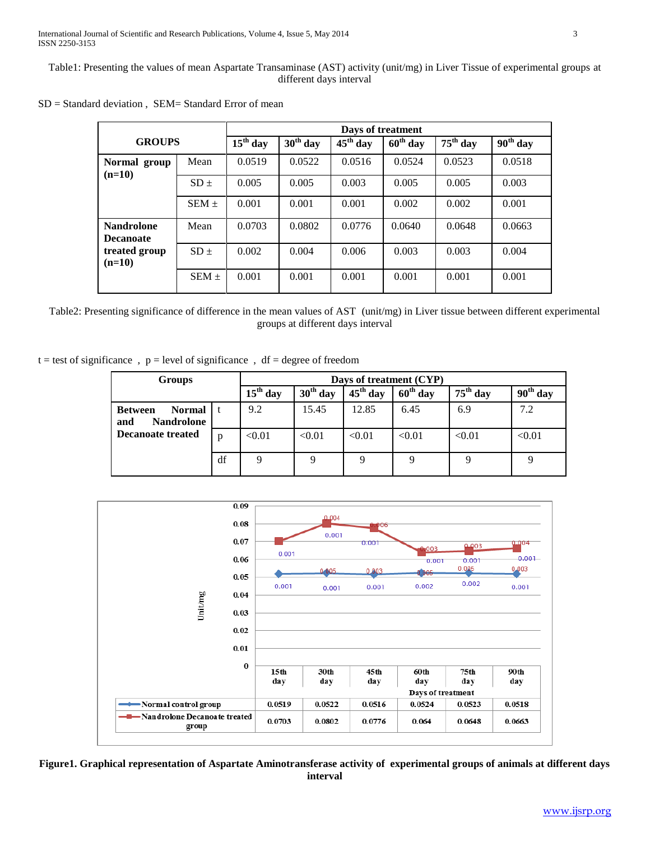Table1: Presenting the values of mean Aspartate Transaminase (AST) activity (unit/mg) in Liver Tissue of experimental groups at different days interval

|                                       |           | Days of treatment |            |            |            |            |            |  |  |  |
|---------------------------------------|-----------|-------------------|------------|------------|------------|------------|------------|--|--|--|
| <b>GROUPS</b>                         |           | $15th$ day        | $30th$ day | $45th$ day | $60th$ day | $75th$ day | $90th$ day |  |  |  |
| Normal group<br>$(n=10)$              | Mean      | 0.0519            | 0.0522     | 0.0516     | 0.0524     | 0.0523     | 0.0518     |  |  |  |
|                                       | $SD +$    | 0.005             | 0.005      | 0.003      | 0.005      | 0.005      | 0.003      |  |  |  |
|                                       | SEM $\pm$ | 0.001             | 0.001      | 0.001      | 0.002      | 0.002      | 0.001      |  |  |  |
| <b>Nandrolone</b><br><b>Decanoate</b> | Mean      | 0.0703            | 0.0802     | 0.0776     | 0.0640     | 0.0648     | 0.0663     |  |  |  |
| treated group<br>$(n=10)$             | $SD +$    | 0.002             | 0.004      | 0.006      | 0.003      | 0.003      | 0.004      |  |  |  |
|                                       | $SEM +$   | 0.001             | 0.001      | 0.001      | 0.001      | 0.001      | 0.001      |  |  |  |

|  | $SD = Standard deviation$ , $SEM = Standard Error$ of mean |
|--|------------------------------------------------------------|
|--|------------------------------------------------------------|

Table2: Presenting significance of difference in the mean values of AST (unit/mg) in Liver tissue between different experimental groups at different days interval

 $t = test$  of significance,  $p = level$  of significance,  $df = degree$  of freedom

| <b>Groups</b>                                               | Days of treatment (CYP) |            |            |                      |            |            |        |
|-------------------------------------------------------------|-------------------------|------------|------------|----------------------|------------|------------|--------|
|                                                             | $15th$ day              | $30th$ day | $45th$ day | $60^{\text{th}}$ day | $75th$ day | $90th$ day |        |
| <b>Normal</b><br><b>Between</b><br><b>Nandrolone</b><br>and |                         | 9.2        | 15.45      | 12.85                | 6.45       | 6.9        | 7.2    |
| <b>Decanoate treated</b>                                    | p                       | < 0.01     | < 0.01     | < 0.01               | < 0.01     | < 0.01     | < 0.01 |
|                                                             | df                      | Q          | 9          | 9                    | 9          |            |        |



**Figure1. Graphical representation of Aspartate Aminotransferase activity of experimental groups of animals at different days interval**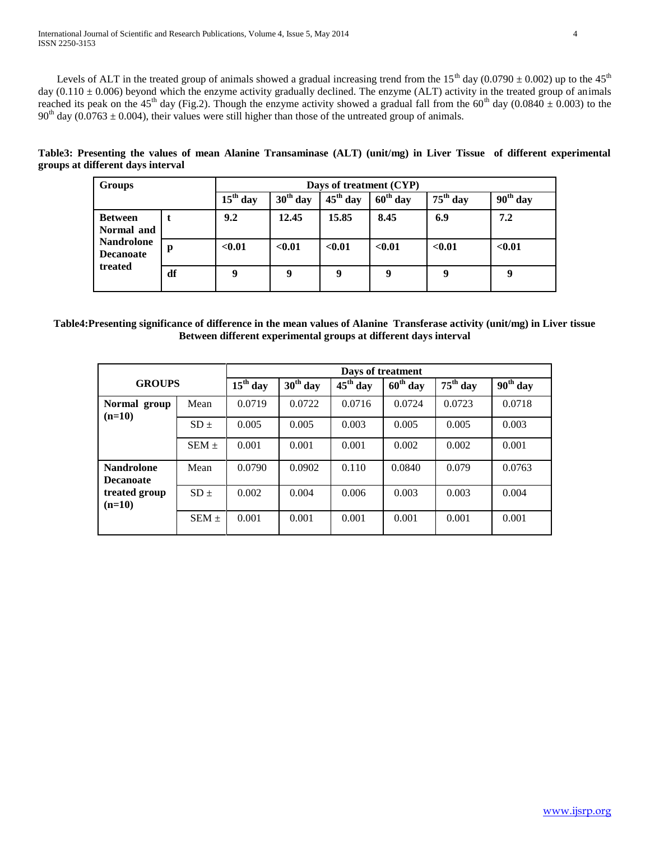Levels of ALT in the treated group of animals showed a gradual increasing trend from the  $15<sup>th</sup>$  day (0.0790  $\pm$  0.002) up to the 45<sup>th</sup> day  $(0.110 \pm 0.006)$  beyond which the enzyme activity gradually declined. The enzyme  $(ALT)$  activity in the treated group of animals reached its peak on the 45<sup>th</sup> day (Fig.2). Though the enzyme activity showed a gradual fall from the 60<sup>th</sup> day (0.0840  $\pm$  0.003) to the  $90<sup>th</sup>$  day (0.0763  $\pm$  0.004), their values were still higher than those of the untreated group of animals.

|                                   |  |  | Table3: Presenting the values of mean Alanine Transaminase (ALT) (unit/mg) in Liver Tissue of different experimental |  |  |  |
|-----------------------------------|--|--|----------------------------------------------------------------------------------------------------------------------|--|--|--|
| groups at different days interval |  |  |                                                                                                                      |  |  |  |

| <b>Groups</b>                                                                    |    | Days of treatment (CYP) |            |            |            |            |            |  |
|----------------------------------------------------------------------------------|----|-------------------------|------------|------------|------------|------------|------------|--|
|                                                                                  |    | $15th$ day              | $30th$ day | $45th$ day | $60th$ day | $75th$ day | $90th$ day |  |
| <b>Between</b><br>Normal and<br><b>Nandrolone</b><br><b>Decanoate</b><br>treated |    | 9.2                     | 12.45      | 15.85      | 8.45       | 6.9        | 7.2        |  |
|                                                                                  | p  | < 0.01                  | < 0.01     | < 0.01     | < 0.01     | < 0.01     | < 0.01     |  |
|                                                                                  | df | 9                       | 9          | 9          | 9          | 9          | $\bf o$    |  |

**Table4:Presenting significance of difference in the mean values of Alanine Transferase activity (unit/mg) in Liver tissue Between different experimental groups at different days interval**

|                                       |            | Days of treatment |            |            |            |            |        |  |  |
|---------------------------------------|------------|-------------------|------------|------------|------------|------------|--------|--|--|
| <b>GROUPS</b>                         | $15th$ day | $30th$ day        | $45th$ day | $60th$ day | $75th$ day | $90th$ day |        |  |  |
| Normal group<br>$(n=10)$              | Mean       | 0.0719            | 0.0722     | 0.0716     | 0.0724     | 0.0723     | 0.0718 |  |  |
|                                       | $SD \pm$   | 0.005             | 0.005      | 0.003      | 0.005      | 0.005      | 0.003  |  |  |
|                                       | $SEM +$    | 0.001             | 0.001      | 0.001      | 0.002      | 0.002      | 0.001  |  |  |
| <b>Nandrolone</b><br><b>Decanoate</b> | Mean       | 0.0790            | 0.0902     | 0.110      | 0.0840     | 0.079      | 0.0763 |  |  |
| treated group<br>$(n=10)$             | $SD +$     | 0.002             | 0.004      | 0.006      | 0.003      | 0.003      | 0.004  |  |  |
|                                       | $SEM +$    | 0.001             | 0.001      | 0.001      | 0.001      | 0.001      | 0.001  |  |  |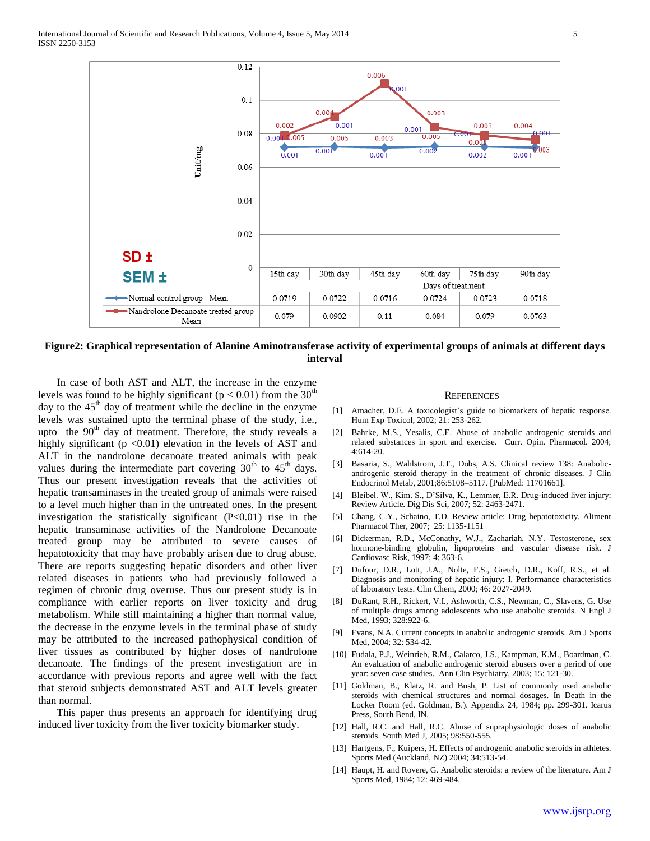

**Figure2: Graphical representation of Alanine Aminotransferase activity of experimental groups of animals at different days interval**

 In case of both AST and ALT, the increase in the enzyme levels was found to be highly significant ( $p < 0.01$ ) from the 30<sup>th</sup> day to the  $45<sup>th</sup>$  day of treatment while the decline in the enzyme levels was sustained upto the terminal phase of the study, i.e., upto the  $90<sup>th</sup>$  day of treatment. Therefore, the study reveals a highly significant ( $p < 0.01$ ) elevation in the levels of AST and ALT in the nandrolone decanoate treated animals with peak values during the intermediate part covering  $30<sup>th</sup>$  to  $45<sup>th</sup>$  days. Thus our present investigation reveals that the activities of hepatic transaminases in the treated group of animals were raised to a level much higher than in the untreated ones. In the present investigation the statistically significant (P<0.01) rise in the hepatic transaminase activities of the Nandrolone Decanoate treated group may be attributed to severe causes of hepatotoxicity that may have probably arisen due to drug abuse. There are reports suggesting hepatic disorders and other liver related diseases in patients who had previously followed a regimen of chronic drug overuse. Thus our present study is in compliance with earlier reports on liver toxicity and drug metabolism. While still maintaining a higher than normal value, the decrease in the enzyme levels in the terminal phase of study may be attributed to the increased pathophysical condition of liver tissues as contributed by higher doses of nandrolone decanoate. The findings of the present investigation are in accordance with previous reports and agree well with the fact that steroid subjects demonstrated AST and ALT levels greater than normal.

 This paper thus presents an approach for identifying drug induced liver toxicity from the liver toxicity biomarker study.

#### **REFERENCES**

- [1] Amacher, D.E. A toxicologist's guide to biomarkers of hepatic response. Hum Exp Toxicol, 2002; 21: 253-262.
- [2] Bahrke, M.S., Yesalis, C.E. Abuse of anabolic androgenic steroids and related substances in sport and exercise. Curr. Opin. Pharmacol. 2004; 4:614-20.
- [3] Basaria, S., Wahlstrom, J.T., Dobs, A.S. Clinical review 138: Anabolicandrogenic steroid therapy in the treatment of chronic diseases. J Clin Endocrinol Metab, 2001;86:5108–5117. [PubMed: 11701661].
- [4] Bleibel. W., Kim. S., D'Silva, K., Lemmer, E.R. Drug-induced liver injury: Review Article. Dig Dis Sci, 2007; 52: 2463-2471.
- [5] Chang, C.Y., Schaino, T.D. Review article: Drug hepatotoxicity. Aliment Pharmacol Ther, 2007; 25: 1135-1151
- [6] Dickerman, R.D., McConathy, W.J., Zachariah, N.Y. Testosterone, sex hormone-binding globulin, lipoproteins and vascular disease risk. J Cardiovasc Risk, 1997; 4: 363-6.
- [7] Dufour, D.R., Lott, J.A., Nolte, F.S., Gretch, D.R., Koff, R.S., et al. Diagnosis and monitoring of hepatic injury: I. Performance characteristics of laboratory tests. Clin Chem, 2000; 46: 2027-2049.
- [8] DuRant, R.H., Rickert, V.I., Ashworth, C.S., Newman, C., Slavens, G. Use of multiple drugs among adolescents who use anabolic steroids. N Engl J Med, 1993; 328:922-6.
- [9] Evans, N.A. Current concepts in anabolic androgenic steroids. Am J Sports Med, 2004; 32: 534-42.
- [10] Fudala, P.J., Weinrieb, R.M., Calarco, J.S., Kampman, K.M., Boardman, C. An evaluation of anabolic androgenic steroid abusers over a period of one year: seven case studies. Ann Clin Psychiatry, 2003; 15: 121-30.
- [11] Goldman, B., Klatz, R. and Bush, P. List of commonly used anabolic steroids with chemical structures and normal dosages. In Death in the Locker Room (ed. Goldman, B.). Appendix 24, 1984; pp. 299-301. Icarus Press, South Bend, IN.
- [12] Hall, R.C. and Hall, R.C. Abuse of supraphysiologic doses of anabolic steroids. South Med J, 2005; 98:550-555.
- [13] Hartgens, F., Kuipers, H. Effects of androgenic anabolic steroids in athletes. Sports Med (Auckland, NZ) 2004; 34:513-54.
- [14] Haupt, H. and Rovere, G. Anabolic steroids: a review of the literature. Am J Sports Med, 1984; 12: 469-484.